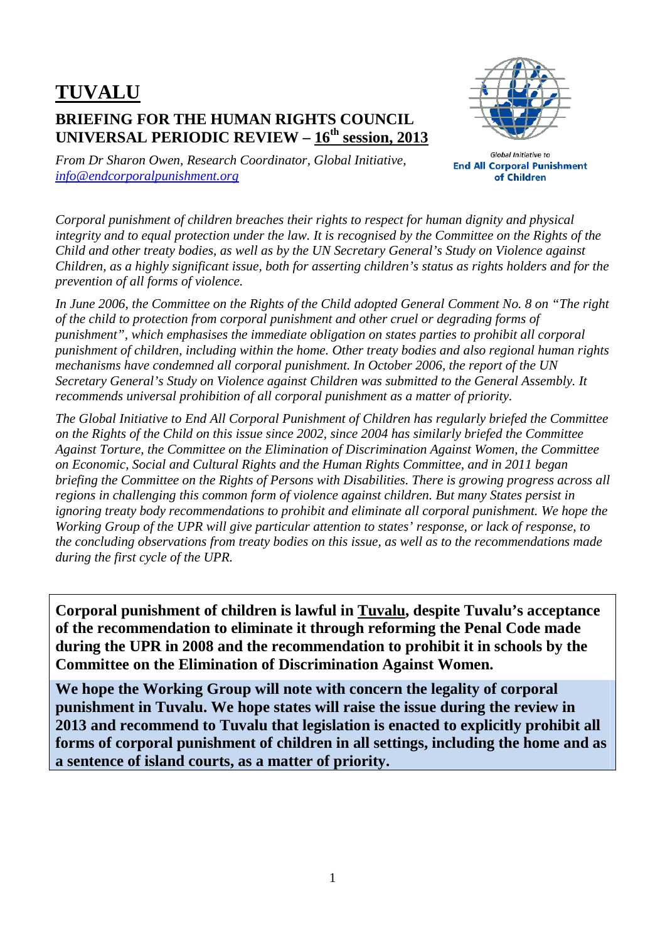## **TUVALU BRIEFING FOR THE HUMAN RIGHTS COUNCIL UNIVERSAL PERIODIC REVIEW – 16th session, 2013**



*From Dr Sharon Owen, Research Coordinator, Global Initiative, info@endcorporalpunishment.org*

**Global Initiative to End All Corporal Punishment** of Children

*Corporal punishment of children breaches their rights to respect for human dignity and physical integrity and to equal protection under the law. It is recognised by the Committee on the Rights of the Child and other treaty bodies, as well as by the UN Secretary General's Study on Violence against Children, as a highly significant issue, both for asserting children's status as rights holders and for the prevention of all forms of violence.* 

*In June 2006, the Committee on the Rights of the Child adopted General Comment No. 8 on "The right of the child to protection from corporal punishment and other cruel or degrading forms of punishment", which emphasises the immediate obligation on states parties to prohibit all corporal punishment of children, including within the home. Other treaty bodies and also regional human rights mechanisms have condemned all corporal punishment. In October 2006, the report of the UN Secretary General's Study on Violence against Children was submitted to the General Assembly. It recommends universal prohibition of all corporal punishment as a matter of priority.* 

*The Global Initiative to End All Corporal Punishment of Children has regularly briefed the Committee on the Rights of the Child on this issue since 2002, since 2004 has similarly briefed the Committee Against Torture, the Committee on the Elimination of Discrimination Against Women, the Committee on Economic, Social and Cultural Rights and the Human Rights Committee, and in 2011 began briefing the Committee on the Rights of Persons with Disabilities. There is growing progress across all regions in challenging this common form of violence against children. But many States persist in ignoring treaty body recommendations to prohibit and eliminate all corporal punishment. We hope the Working Group of the UPR will give particular attention to states' response, or lack of response, to the concluding observations from treaty bodies on this issue, as well as to the recommendations made during the first cycle of the UPR.* 

**Corporal punishment of children is lawful in Tuvalu, despite Tuvalu's acceptance of the recommendation to eliminate it through reforming the Penal Code made during the UPR in 2008 and the recommendation to prohibit it in schools by the Committee on the Elimination of Discrimination Against Women.** 

**We hope the Working Group will note with concern the legality of corporal punishment in Tuvalu. We hope states will raise the issue during the review in 2013 and recommend to Tuvalu that legislation is enacted to explicitly prohibit all forms of corporal punishment of children in all settings, including the home and as a sentence of island courts, as a matter of priority.**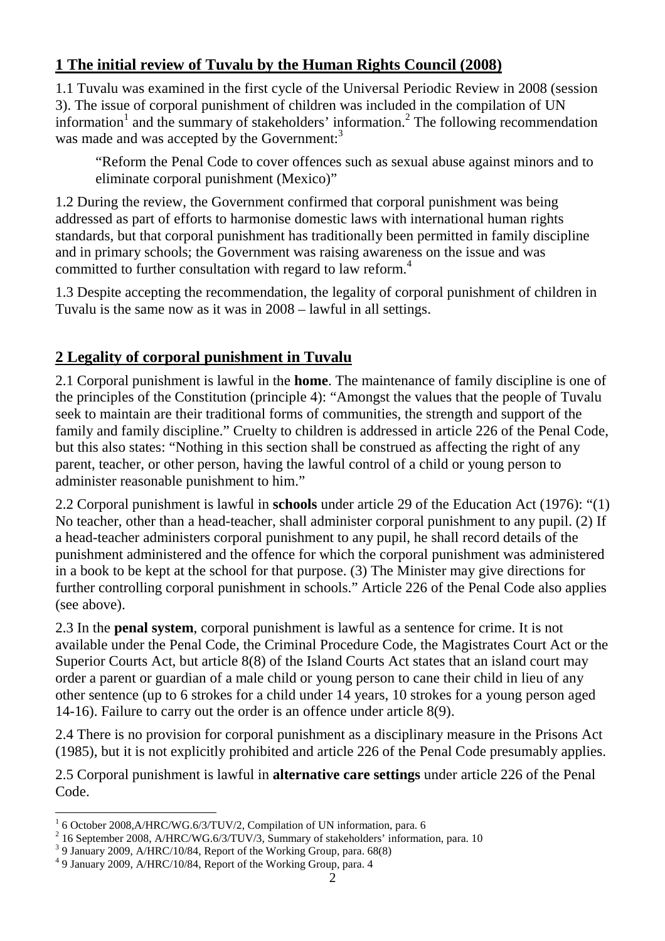## **1 The initial review of Tuvalu by the Human Rights Council (2008)**

1.1 Tuvalu was examined in the first cycle of the Universal Periodic Review in 2008 (session 3). The issue of corporal punishment of children was included in the compilation of UN information<sup>1</sup> and the summary of stakeholders' information.<sup>2</sup> The following recommendation was made and was accepted by the Government:<sup>3</sup>

"Reform the Penal Code to cover offences such as sexual abuse against minors and to eliminate corporal punishment (Mexico)"

1.2 During the review, the Government confirmed that corporal punishment was being addressed as part of efforts to harmonise domestic laws with international human rights standards, but that corporal punishment has traditionally been permitted in family discipline and in primary schools; the Government was raising awareness on the issue and was committed to further consultation with regard to law reform.<sup>4</sup>

1.3 Despite accepting the recommendation, the legality of corporal punishment of children in Tuvalu is the same now as it was in 2008 – lawful in all settings.

## **2 Legality of corporal punishment in Tuvalu**

2.1 Corporal punishment is lawful in the **home**. The maintenance of family discipline is one of the principles of the Constitution (principle 4): "Amongst the values that the people of Tuvalu seek to maintain are their traditional forms of communities, the strength and support of the family and family discipline." Cruelty to children is addressed in article 226 of the Penal Code, but this also states: "Nothing in this section shall be construed as affecting the right of any parent, teacher, or other person, having the lawful control of a child or young person to administer reasonable punishment to him."

2.2 Corporal punishment is lawful in **schools** under article 29 of the Education Act (1976): "(1) No teacher, other than a head-teacher, shall administer corporal punishment to any pupil. (2) If a head-teacher administers corporal punishment to any pupil, he shall record details of the punishment administered and the offence for which the corporal punishment was administered in a book to be kept at the school for that purpose. (3) The Minister may give directions for further controlling corporal punishment in schools." Article 226 of the Penal Code also applies (see above).

2.3 In the **penal system**, corporal punishment is lawful as a sentence for crime. It is not available under the Penal Code, the Criminal Procedure Code, the Magistrates Court Act or the Superior Courts Act, but article 8(8) of the Island Courts Act states that an island court may order a parent or guardian of a male child or young person to cane their child in lieu of any other sentence (up to 6 strokes for a child under 14 years, 10 strokes for a young person aged 14-16). Failure to carry out the order is an offence under article 8(9).

2.4 There is no provision for corporal punishment as a disciplinary measure in the Prisons Act (1985), but it is not explicitly prohibited and article 226 of the Penal Code presumably applies.

2.5 Corporal punishment is lawful in **alternative care settings** under article 226 of the Penal Code.

 1 6 October 2008,A/HRC/WG.6/3/TUV/2, Compilation of UN information, para. 6

 $^{2}$  16 September 2008, A/HRC/WG.6/3/TUV/3, Summary of stakeholders' information, para. 10

<sup>3</sup> 9 January 2009, A/HRC/10/84, Report of the Working Group, para. 68(8)

<sup>4</sup> 9 January 2009, A/HRC/10/84, Report of the Working Group, para. 4